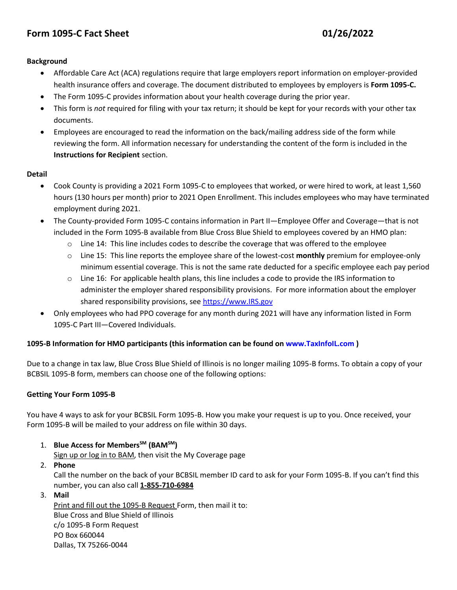# **Form 1095-C Fact Sheet 01/26/2022**

#### **Background**

- Affordable Care Act (ACA) regulations require that large employers report information on employer-provided health insurance offers and coverage. The document distributed to employees by employers is **Form 1095-C.**
- The Form 1095-C provides information about your health coverage during the prior year.
- This form is *not* required for filing with your tax return; it should be kept for your records with your other tax documents.
- Employees are encouraged to read the information on the back/mailing address side of the form while reviewing the form. All information necessary for understanding the content of the form is included in the **Instructions for Recipient** section.

# **Detail**

- Cook County is providing a 2021 Form 1095-C to employees that worked, or were hired to work, at least 1,560 hours (130 hours per month) prior to 2021 Open Enrollment. This includes employees who may have terminated employment during 2021.
- The County-provided Form 1095-C contains information in Part II—Employee Offer and Coverage—that is not included in the Form 1095-B available from Blue Cross Blue Shield to employees covered by an HMO plan:
	- $\circ$  Line 14: This line includes codes to describe the coverage that was offered to the employee
	- o Line 15: This line reports the employee share of the lowest-cost **monthly** premium for employee-only minimum essential coverage. This is not the same rate deducted for a specific employee each pay period
	- $\circ$  Line 16: For applicable health plans, this line includes a code to provide the IRS information to administer the employer shared responsibility provisions. For more information about the employer shared responsibility provisions, see https:/[/www.IRS.gov](http://www.irs.gov/)
- Only employees who had PPO coverage for any month during 2021 will have any information listed in Form 1095-C Part III—Covered Individuals.

# **1095-B Information for HMO participants (this information can be found on [www.TaxInfoIL.com](https://urldefense.com/v3/__http:/www.TaxInfoIL.com__;!!LAlM4g!mRHd8NaRYV3wCtp7Uhb9_AknHUB3YY9kx86iN-tP7Gbqqio0NpZx9IkLetuSkp15V7w$) )**

Due to a change in tax law, Blue Cross Blue Shield of Illinois is no longer mailing 1095-B forms. To obtain a copy of your BCBSIL 1095-B form, members can choose one of the following options:

# **Getting Your Form 1095-B**

You have 4 ways to ask for your BCBSIL Form 1095-B. How you make your request is up to you. Once received, your Form 1095-B will be mailed to your address on file within 30 days.

1. **Blue Access for MembersSM (BAMSM)**

Sign up or log in to [BAM,](https://members.hcsc.net/wps/PA_BAMLogin/bamGateway?corpEntCode=IL1) then visit the My Coverage page

- 2. **Phone** Call the number on the back of your BCBSIL member ID card to ask for your Form 1095-B. If you can't find this number, you can also call **[1-855-710-6984](tel:1-855-710-6984)**
- 3. **Mail** Print and fill out the 1095-B [Request](https://www.bcbsil.com/docs/forms/individual/il/1095b-request-form-il.pdf) Form, then mail it to: Blue Cross and Blue Shield of Illinois c/o 1095-B Form Request PO Box 660044 Dallas, TX 75266-0044